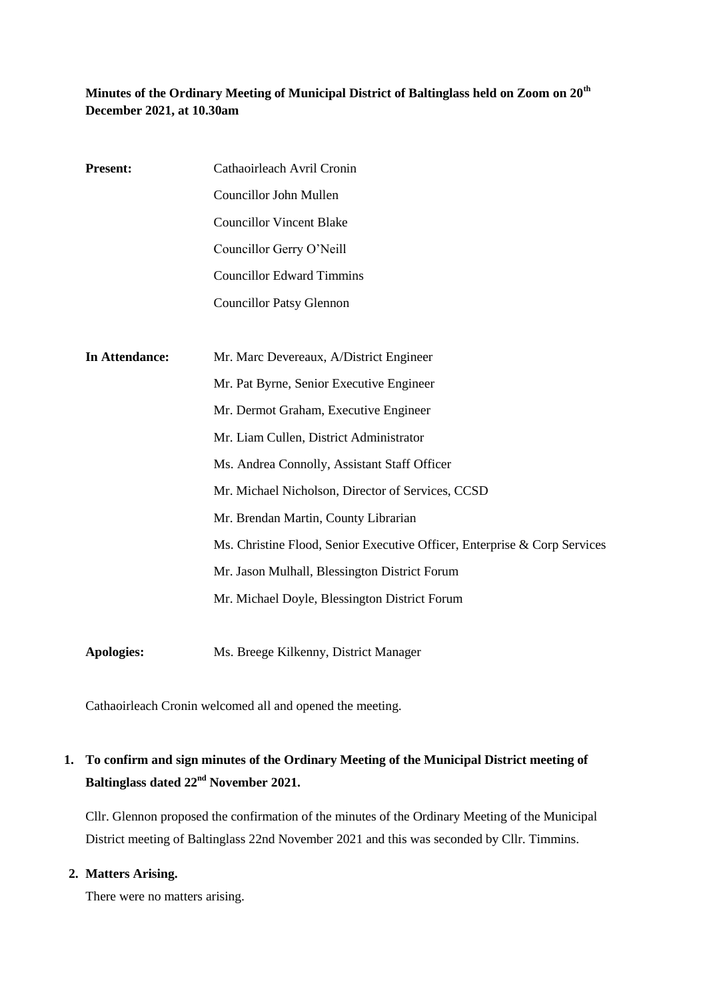## **Minutes of the Ordinary Meeting of Municipal District of Baltinglass held on Zoom on 20th December 2021, at 10.30am**

| <b>Present:</b> | Cathaoirleach Avril Cronin                                                |  |  |
|-----------------|---------------------------------------------------------------------------|--|--|
|                 | Councillor John Mullen                                                    |  |  |
|                 | <b>Councillor Vincent Blake</b>                                           |  |  |
|                 | Councillor Gerry O'Neill                                                  |  |  |
|                 | <b>Councillor Edward Timmins</b>                                          |  |  |
|                 | <b>Councillor Patsy Glennon</b>                                           |  |  |
|                 |                                                                           |  |  |
| In Attendance:  | Mr. Marc Devereaux, A/District Engineer                                   |  |  |
|                 | Mr. Pat Byrne, Senior Executive Engineer                                  |  |  |
|                 | Mr. Dermot Graham, Executive Engineer                                     |  |  |
|                 | Mr. Liam Cullen, District Administrator                                   |  |  |
|                 | Ms. Andrea Connolly, Assistant Staff Officer                              |  |  |
|                 | Mr. Michael Nicholson, Director of Services, CCSD                         |  |  |
|                 | Mr. Brendan Martin, County Librarian                                      |  |  |
|                 | Ms. Christine Flood, Senior Executive Officer, Enterprise & Corp Services |  |  |
|                 | Mr. Jason Mulhall, Blessington District Forum                             |  |  |
|                 | Mr. Michael Doyle, Blessington District Forum                             |  |  |
|                 |                                                                           |  |  |
|                 |                                                                           |  |  |

Cathaoirleach Cronin welcomed all and opened the meeting.

**Apologies:** Ms. Breege Kilkenny, District Manager

# **1. To confirm and sign minutes of the Ordinary Meeting of the Municipal District meeting of Baltinglass dated 22nd November 2021.**

Cllr. Glennon proposed the confirmation of the minutes of the Ordinary Meeting of the Municipal District meeting of Baltinglass 22nd November 2021 and this was seconded by Cllr. Timmins.

### **2. Matters Arising.**

There were no matters arising.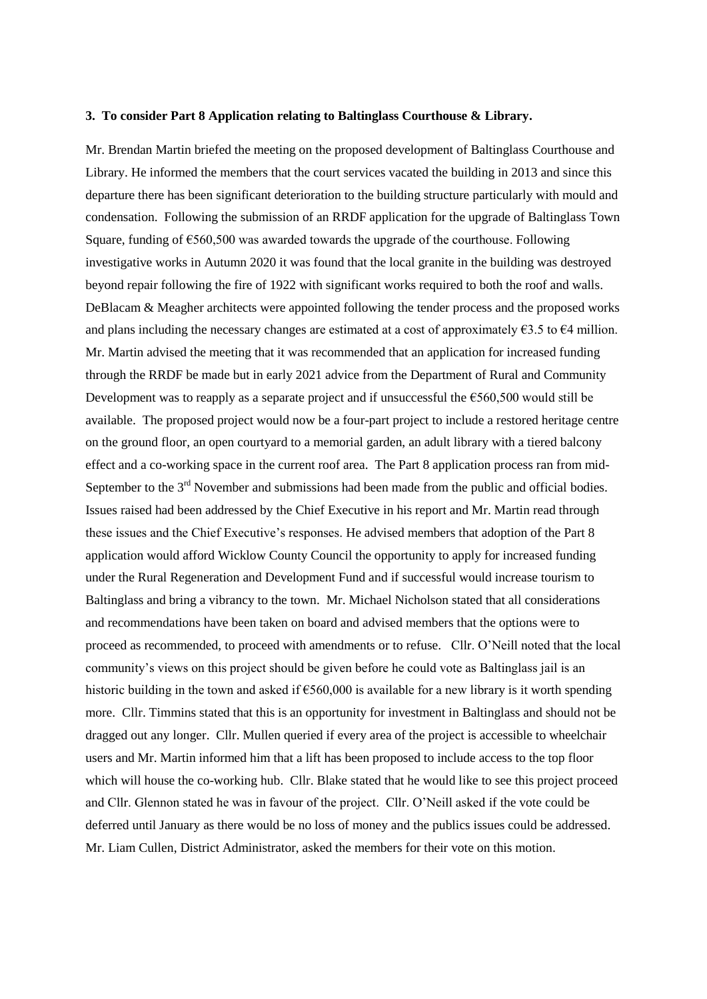#### **3. To consider Part 8 Application relating to Baltinglass Courthouse & Library.**

Mr. Brendan Martin briefed the meeting on the proposed development of Baltinglass Courthouse and Library. He informed the members that the court services vacated the building in 2013 and since this departure there has been significant deterioration to the building structure particularly with mould and condensation. Following the submission of an RRDF application for the upgrade of Baltinglass Town Square, funding of  $\epsilon$ 560,500 was awarded towards the upgrade of the courthouse. Following investigative works in Autumn 2020 it was found that the local granite in the building was destroyed beyond repair following the fire of 1922 with significant works required to both the roof and walls. DeBlacam & Meagher architects were appointed following the tender process and the proposed works and plans including the necessary changes are estimated at a cost of approximately  $63.5$  to  $64$  million. Mr. Martin advised the meeting that it was recommended that an application for increased funding through the RRDF be made but in early 2021 advice from the Department of Rural and Community Development was to reapply as a separate project and if unsuccessful the €560,500 would still be available. The proposed project would now be a four-part project to include a restored heritage centre on the ground floor, an open courtyard to a memorial garden, an adult library with a tiered balcony effect and a co-working space in the current roof area. The Part 8 application process ran from mid-September to the 3<sup>rd</sup> November and submissions had been made from the public and official bodies. Issues raised had been addressed by the Chief Executive in his report and Mr. Martin read through these issues and the Chief Executive's responses. He advised members that adoption of the Part 8 application would afford Wicklow County Council the opportunity to apply for increased funding under the Rural Regeneration and Development Fund and if successful would increase tourism to Baltinglass and bring a vibrancy to the town. Mr. Michael Nicholson stated that all considerations and recommendations have been taken on board and advised members that the options were to proceed as recommended, to proceed with amendments or to refuse. Cllr. O'Neill noted that the local community's views on this project should be given before he could vote as Baltinglass jail is an historic building in the town and asked if  $\epsilon$ 560,000 is available for a new library is it worth spending more. Cllr. Timmins stated that this is an opportunity for investment in Baltinglass and should not be dragged out any longer. Cllr. Mullen queried if every area of the project is accessible to wheelchair users and Mr. Martin informed him that a lift has been proposed to include access to the top floor which will house the co-working hub. Cllr. Blake stated that he would like to see this project proceed and Cllr. Glennon stated he was in favour of the project. Cllr. O'Neill asked if the vote could be deferred until January as there would be no loss of money and the publics issues could be addressed. Mr. Liam Cullen, District Administrator, asked the members for their vote on this motion.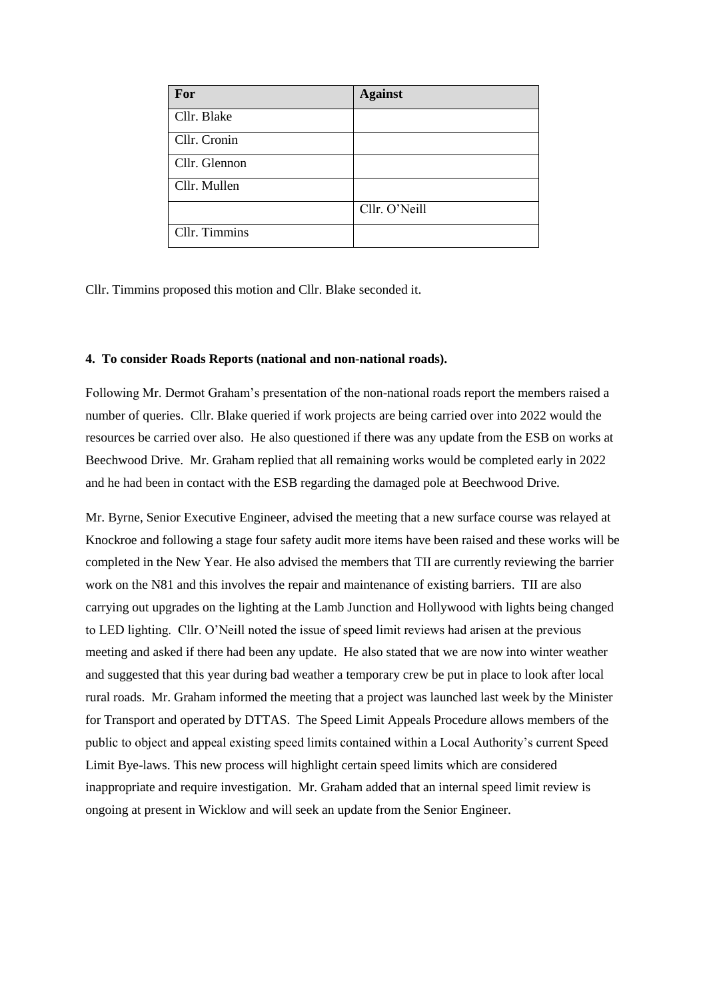| For           | <b>Against</b> |
|---------------|----------------|
| Cllr. Blake   |                |
| Cllr. Cronin  |                |
| Cllr. Glennon |                |
| Cllr. Mullen  |                |
|               | Cllr. O'Neill  |
| Cllr. Timmins |                |

Cllr. Timmins proposed this motion and Cllr. Blake seconded it.

#### **4. To consider Roads Reports (national and non-national roads).**

Following Mr. Dermot Graham's presentation of the non-national roads report the members raised a number of queries. Cllr. Blake queried if work projects are being carried over into 2022 would the resources be carried over also. He also questioned if there was any update from the ESB on works at Beechwood Drive. Mr. Graham replied that all remaining works would be completed early in 2022 and he had been in contact with the ESB regarding the damaged pole at Beechwood Drive.

Mr. Byrne, Senior Executive Engineer, advised the meeting that a new surface course was relayed at Knockroe and following a stage four safety audit more items have been raised and these works will be completed in the New Year. He also advised the members that TII are currently reviewing the barrier work on the N81 and this involves the repair and maintenance of existing barriers. TII are also carrying out upgrades on the lighting at the Lamb Junction and Hollywood with lights being changed to LED lighting. Cllr. O'Neill noted the issue of speed limit reviews had arisen at the previous meeting and asked if there had been any update. He also stated that we are now into winter weather and suggested that this year during bad weather a temporary crew be put in place to look after local rural roads. Mr. Graham informed the meeting that a project was launched last week by the Minister for Transport and operated by DTTAS. The Speed Limit Appeals Procedure allows members of the public to object and appeal existing speed limits contained within a Local Authority's current Speed Limit Bye-laws. This new process will highlight certain speed limits which are considered inappropriate and require investigation. Mr. Graham added that an internal speed limit review is ongoing at present in Wicklow and will seek an update from the Senior Engineer.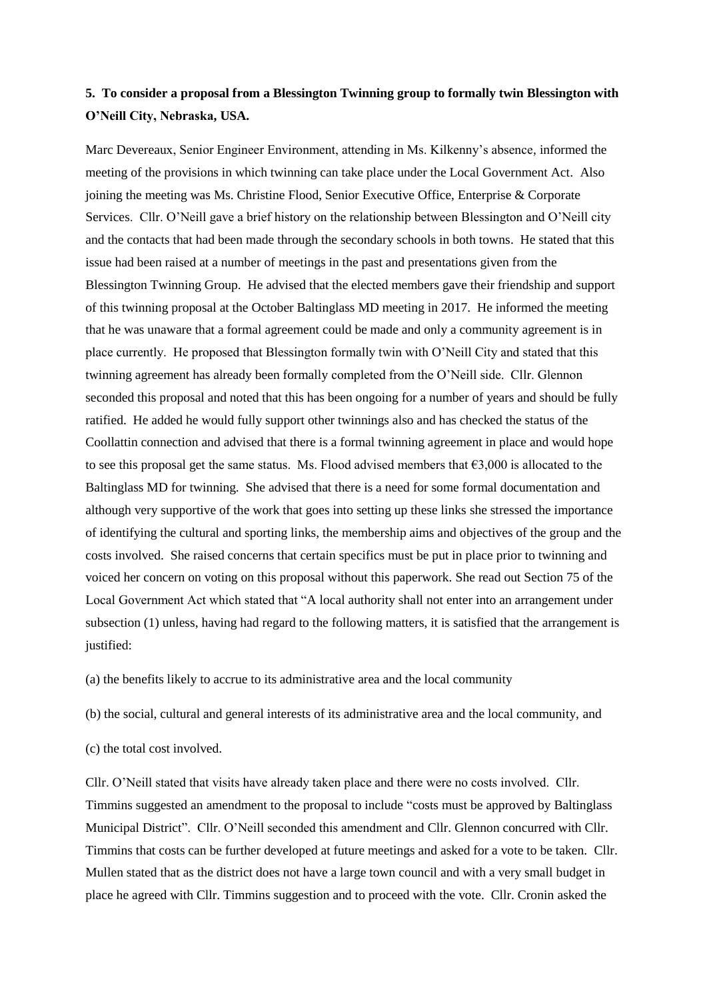## **5. To consider a proposal from a Blessington Twinning group to formally twin Blessington with O'Neill City, Nebraska, USA.**

Marc Devereaux, Senior Engineer Environment, attending in Ms. Kilkenny's absence, informed the meeting of the provisions in which twinning can take place under the Local Government Act. Also joining the meeting was Ms. Christine Flood, Senior Executive Office, Enterprise & Corporate Services. Cllr. O'Neill gave a brief history on the relationship between Blessington and O'Neill city and the contacts that had been made through the secondary schools in both towns. He stated that this issue had been raised at a number of meetings in the past and presentations given from the Blessington Twinning Group. He advised that the elected members gave their friendship and support of this twinning proposal at the October Baltinglass MD meeting in 2017. He informed the meeting that he was unaware that a formal agreement could be made and only a community agreement is in place currently. He proposed that Blessington formally twin with O'Neill City and stated that this twinning agreement has already been formally completed from the O'Neill side. Cllr. Glennon seconded this proposal and noted that this has been ongoing for a number of years and should be fully ratified. He added he would fully support other twinnings also and has checked the status of the Coollattin connection and advised that there is a formal twinning agreement in place and would hope to see this proposal get the same status. Ms. Flood advised members that  $63,000$  is allocated to the Baltinglass MD for twinning. She advised that there is a need for some formal documentation and although very supportive of the work that goes into setting up these links she stressed the importance of identifying the cultural and sporting links, the membership aims and objectives of the group and the costs involved. She raised concerns that certain specifics must be put in place prior to twinning and voiced her concern on voting on this proposal without this paperwork. She read out Section 75 of the Local Government Act which stated that "A local authority shall not enter into an arrangement under subsection (1) unless, having had regard to the following matters, it is satisfied that the arrangement is justified:

(a) the benefits likely to accrue to its administrative area and the local community

(b) the social, cultural and general interests of its administrative area and the local community, and

(c) the total cost involved.

Cllr. O'Neill stated that visits have already taken place and there were no costs involved. Cllr. Timmins suggested an amendment to the proposal to include "costs must be approved by Baltinglass Municipal District". Cllr. O'Neill seconded this amendment and Cllr. Glennon concurred with Cllr. Timmins that costs can be further developed at future meetings and asked for a vote to be taken. Cllr. Mullen stated that as the district does not have a large town council and with a very small budget in place he agreed with Cllr. Timmins suggestion and to proceed with the vote. Cllr. Cronin asked the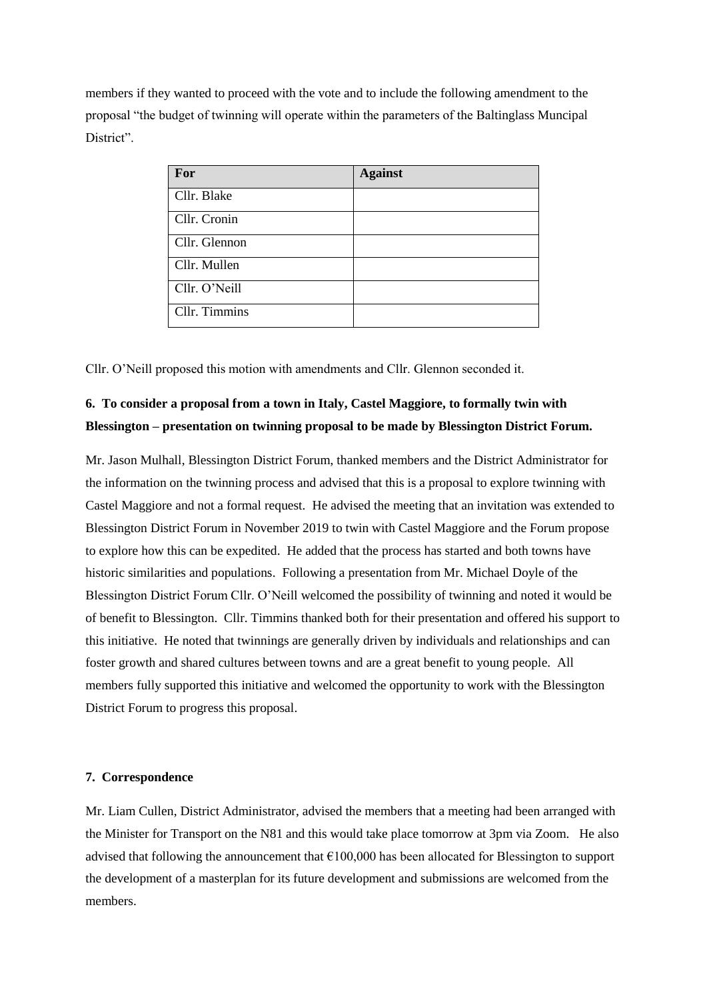members if they wanted to proceed with the vote and to include the following amendment to the proposal "the budget of twinning will operate within the parameters of the Baltinglass Muncipal District".

| For           | <b>Against</b> |
|---------------|----------------|
| Cllr. Blake   |                |
| Cllr. Cronin  |                |
| Cllr. Glennon |                |
| Cllr. Mullen  |                |
| Cllr. O'Neill |                |
| Cllr. Timmins |                |

Cllr. O'Neill proposed this motion with amendments and Cllr. Glennon seconded it.

## **6. To consider a proposal from a town in Italy, Castel Maggiore, to formally twin with Blessington – presentation on twinning proposal to be made by Blessington District Forum.**

Mr. Jason Mulhall, Blessington District Forum, thanked members and the District Administrator for the information on the twinning process and advised that this is a proposal to explore twinning with Castel Maggiore and not a formal request. He advised the meeting that an invitation was extended to Blessington District Forum in November 2019 to twin with Castel Maggiore and the Forum propose to explore how this can be expedited. He added that the process has started and both towns have historic similarities and populations. Following a presentation from Mr. Michael Doyle of the Blessington District Forum Cllr. O'Neill welcomed the possibility of twinning and noted it would be of benefit to Blessington. Cllr. Timmins thanked both for their presentation and offered his support to this initiative. He noted that twinnings are generally driven by individuals and relationships and can foster growth and shared cultures between towns and are a great benefit to young people. All members fully supported this initiative and welcomed the opportunity to work with the Blessington District Forum to progress this proposal.

#### **7. Correspondence**

Mr. Liam Cullen, District Administrator, advised the members that a meeting had been arranged with the Minister for Transport on the N81 and this would take place tomorrow at 3pm via Zoom. He also advised that following the announcement that  $\epsilon$ 100,000 has been allocated for Blessington to support the development of a masterplan for its future development and submissions are welcomed from the members.